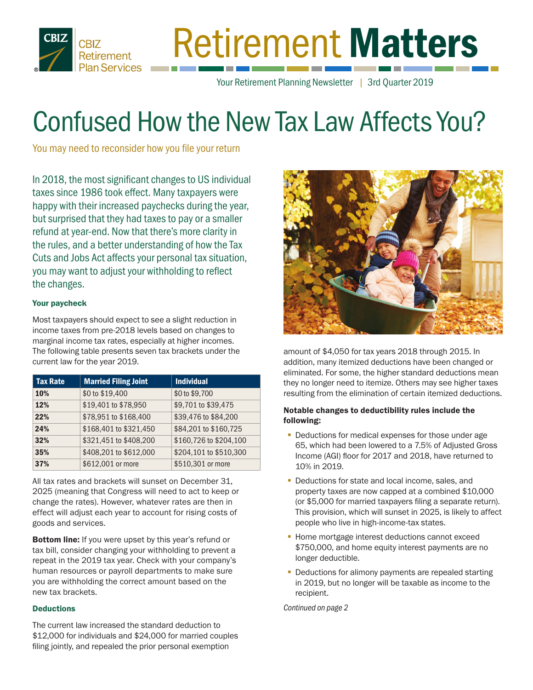

# Retirement Matters

Your Retirement Planning Newsletter | 3rd Quarter 2019

# Confused How the New Tax Law Affects You?

You may need to reconsider how you file your return

In 2018, the most significant changes to US individual taxes since 1986 took effect. Many taxpayers were happy with their increased paychecks during the year, but surprised that they had taxes to pay or a smaller refund at year-end. Now that there's more clarity in the rules, and a better understanding of how the Tax Cuts and Jobs Act affects your personal tax situation, you may want to adjust your withholding to reflect the changes.

#### Your paycheck

Most taxpayers should expect to see a slight reduction in income taxes from pre-2018 levels based on changes to marginal income tax rates, especially at higher incomes. The following table presents seven tax brackets under the current law for the year 2019.

| <b>Tax Rate</b> | <b>Married Filing Joint</b> | <b>Individual</b>      |
|-----------------|-----------------------------|------------------------|
| <b>10%</b>      | \$0 to \$19,400             | \$0 to \$9,700         |
| 12%             | \$19,401 to \$78,950        | \$9,701 to \$39,475    |
| 22%             | \$78,951 to \$168,400       | \$39,476 to \$84,200   |
| 24%             | \$168,401 to \$321,450      | \$84,201 to \$160,725  |
| 32%             | \$321,451 to \$408,200      | \$160,726 to \$204,100 |
| 35%             | \$408,201 to \$612,000      | \$204,101 to \$510,300 |
| 37%             | \$612,001 or more           | \$510,301 or more      |

All tax rates and brackets will sunset on December 31, 2025 (meaning that Congress will need to act to keep or change the rates). However, whatever rates are then in effect will adjust each year to account for rising costs of goods and services.

**Bottom line:** If you were upset by this year's refund or tax bill, consider changing your withholding to prevent a repeat in the 2019 tax year. Check with your company's human resources or payroll departments to make sure you are withholding the correct amount based on the new tax brackets.

#### **Deductions**

The current law increased the standard deduction to \$12,000 for individuals and \$24,000 for married couples filing jointly, and repealed the prior personal exemption



amount of \$4,050 for tax years 2018 through 2015. In addition, many itemized deductions have been changed or eliminated. For some, the higher standard deductions mean they no longer need to itemize. Others may see higher taxes resulting from the elimination of certain itemized deductions.

#### Notable changes to deductibility rules include the following:

- Deductions for medical expenses for those under age 65, which had been lowered to a 7.5% of Adjusted Gross Income (AGI) floor for 2017 and 2018, have returned to 10% in 2019.
- Deductions for state and local income, sales, and property taxes are now capped at a combined \$10,000 (or \$5,000 for married taxpayers filing a separate return). This provision, which will sunset in 2025, is likely to affect people who live in high-income-tax states.
- **Home mortgage interest deductions cannot exceed** \$750,000, and home equity interest payments are no longer deductible.
- Deductions for alimony payments are repealed starting in 2019, but no longer will be taxable as income to the recipient.

*Continued on page 2*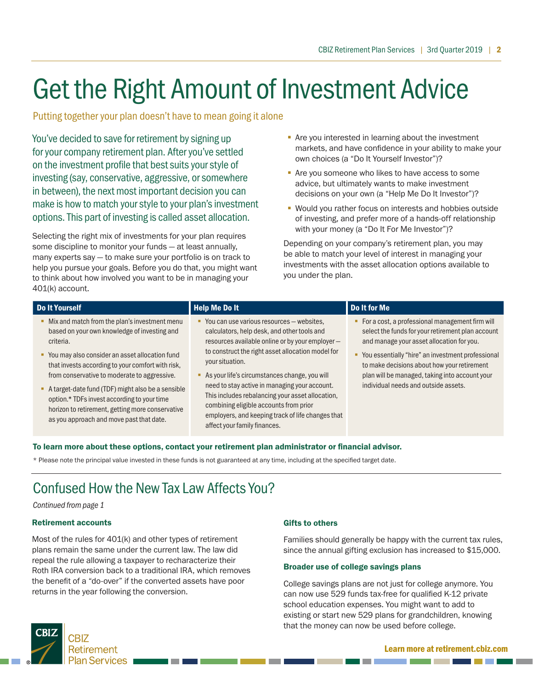# Get the Right Amount of Investment Advice

Putting together your plan doesn't have to mean going it alone

You've decided to save for retirement by signing up for your company retirement plan. After you've settled on the investment profile that best suits your style of investing (say, conservative, aggressive, or somewhere in between), the next most important decision you can make is how to match your style to your plan's investment options. This part of investing is called asset allocation.

Selecting the right mix of investments for your plan requires some discipline to monitor your funds — at least annually, many experts say — to make sure your portfolio is on track to help you pursue your goals. Before you do that, you might want to think about how involved you want to be in managing your 401(k) account.

- **Are you interested in learning about the investment** markets, and have confidence in your ability to make your own choices (a "Do It Yourself Investor")?
- Are you someone who likes to have access to some advice, but ultimately wants to make investment decisions on your own (a "Help Me Do It Investor")?
- **Would you rather focus on interests and hobbies outside** of investing, and prefer more of a hands-off relationship with your money (a "Do It For Me Investor")?

Depending on your company's retirement plan, you may be able to match your level of interest in managing your investments with the asset allocation options available to you under the plan.

| Do It Yourself                                                                                                                                                                                                                                   | <b>Help Me Do It</b>                                                                                                                                                                                                                                                              | Do It for Me                                                                                                                                                                                                                                                      |
|--------------------------------------------------------------------------------------------------------------------------------------------------------------------------------------------------------------------------------------------------|-----------------------------------------------------------------------------------------------------------------------------------------------------------------------------------------------------------------------------------------------------------------------------------|-------------------------------------------------------------------------------------------------------------------------------------------------------------------------------------------------------------------------------------------------------------------|
| Mix and match from the plan's investment menu<br>٠<br>based on your own knowledge of investing and<br>criteria.<br>You may also consider an asset allocation fund<br>٠<br>that invests according to your comfort with risk,                      | • You can use various resources - websites,<br>calculators, help desk, and other tools and<br>resources available online or by your employer -<br>to construct the right asset allocation model for<br>your situation.                                                            | For a cost, a professional management firm will<br>٠.<br>select the funds for your retirement plan account<br>and manage your asset allocation for you.<br>You essentially "hire" an investment professional<br>٠.<br>to make decisions about how your retirement |
| from conservative to moderate to aggressive.<br>A target-date fund (TDF) might also be a sensible<br>option.* TDFs invest according to your time<br>horizon to retirement, getting more conservative<br>as you approach and move past that date. | As your life's circumstances change, you will<br>need to stay active in managing your account.<br>This includes rebalancing your asset allocation,<br>combining eligible accounts from prior<br>employers, and keeping track of life changes that<br>affect your family finances. | plan will be managed, taking into account your<br>individual needs and outside assets.                                                                                                                                                                            |

#### To learn more about these options, contact your retirement plan administrator or financial advisor.

\* Please note the principal value invested in these funds is not guaranteed at any time, including at the specified target date.

## Confused How the New Tax Law Affects You?

*Continued from page 1*

#### Retirement accounts

Most of the rules for 401(k) and other types of retirement plans remain the same under the current law. The law did repeal the rule allowing a taxpayer to recharacterize their Roth IRA conversion back to a traditional IRA, which removes the benefit of a "do-over" if the converted assets have poor returns in the year following the conversion.

#### Gifts to others

Families should generally be happy with the current tax rules, since the annual gifting exclusion has increased to \$15,000.

#### Broader use of college savings plans

College savings plans are not just for college anymore. You can now use 529 funds tax-free for qualified K-12 private school education expenses. You might want to add to existing or start new 529 plans for grandchildren, knowing that the money can now be used before college.

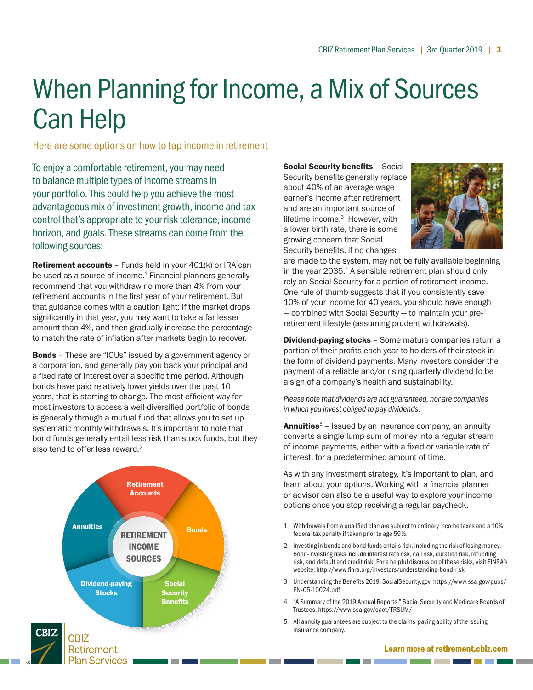# When Planning for Income, a Mix of Sources Can Help

Here are some options on how to tap income in retirement

To enjoy a comfortable retirement, you may need to balance multiple types of income streams in your portfolio. This could help you achieve the most advantageous mix of investment growth, income and tax control that's appropriate to your risk tolerance, income horizon, and goals. These streams can come from the following sources:

Retirement accounts - Funds held in your 401(k) or IRA can be used as a source of income.<sup>1</sup> Financial planners generally recommend that you withdraw no more than 4% from your retirement accounts in the first year of your retirement. But that guidance comes with a caution light: If the market drops significantly in that year, you may want to take a far lesser amount than 4%, and then gradually increase the percentage to match the rate of inflation after markets begin to recover.

Bonds – These are "IOUs" issued by a government agency or a corporation, and generally pay you back your principal and a fixed rate of interest over a specific time period. Although bonds have paid relatively lower yields over the past 10 years, that is starting to change. The most efficient way for most investors to access a well-diversified portfolio of bonds is generally through a mutual fund that allows you to set up systematic monthly withdrawals. It's important to note that bond funds generally entail less risk than stock funds, but they also tend to offer less reward.<sup>2</sup>



Social Security benefits – Social Security benefits generally replace about 40% of an average wage earner's income after retirement and are an important source of lifetime income.<sup>3</sup> However, with a lower birth rate, there is some growing concern that Social Security benefits, if no changes



are made to the system, may not be fully available beginning in the year 2035.<sup>4</sup> A sensible retirement plan should only rely on Social Security for a portion of retirement income. One rule of thumb suggests that if you consistently save 10% of your income for 40 years, you should have enough — combined with Social Security — to maintain your preretirement lifestyle (assuming prudent withdrawals).

**Dividend-paying stocks** - Some mature companies return a portion of their profits each year to holders of their stock in the form of dividend payments. Many investors consider the payment of a reliable and/or rising quarterly dividend to be a sign of a company's health and sustainability.

*Please note that dividends are not guaranteed, nor are companies in which you invest obliged to pay dividends.* 

**Annuities**<sup>5</sup> – Issued by an insurance company, an annuity converts a single lump sum of money into a regular stream of income payments, either with a fixed or variable rate of interest, for a predetermined amount of time.

As with any investment strategy, it's important to plan, and learn about your options. Working with a financial planner or advisor can also be a useful way to explore your income options once you stop receiving a regular paycheck.

- 1 Withdrawals from a qualified plan are subject to ordinary income taxes and a 10% federal tax penalty if taken prior to age 59½.
- 2 Investing in bonds and bond funds entails risk, including the risk of losing money. Bond-investing risks include interest rate risk, call risk, duration risk, refunding risk, and default and credit risk. For a helpful discussion of these risks, visit FINRA's website: http://www.finra.org/investors/understanding-bond-risk
- 3 Understanding the Benefits 2019, SocialSecurity.gov. https://www.ssa.gov/pubs/ EN-05-10024.pdf
- 4 "A Summary of the 2019 Annual Reports," Social Security and Medicare Boards of Trustees. https://www.ssa.gov/oact/TRSUM/
- 5 All annuity guarantees are subject to the claims-paying ability of the issuing insurance company.

#### Learn more at retirement.cbiz.com